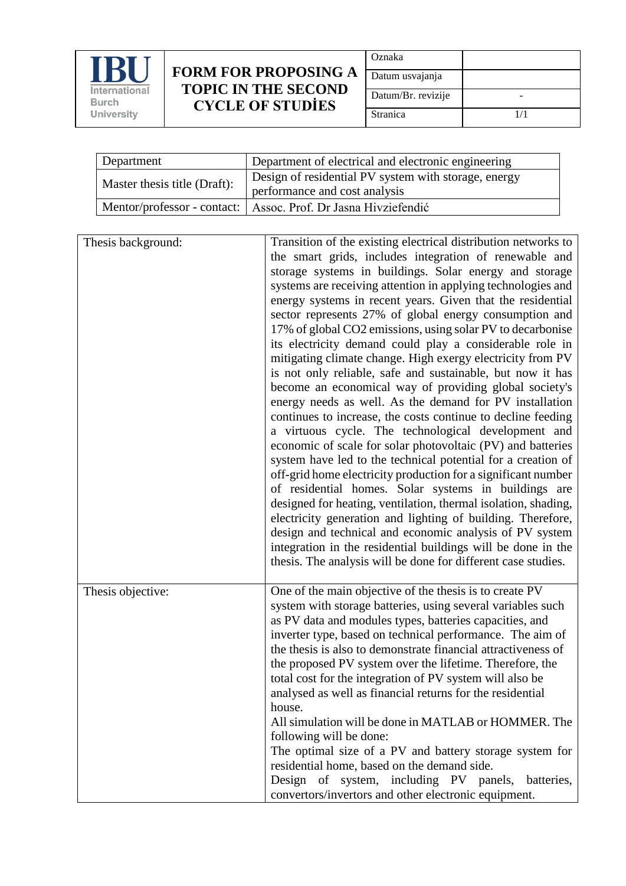

## **FORM FOR PROPOSING A TOPIC IN THE SECOND CYCLE OF STUDİES**

| Oznaka             |     |
|--------------------|-----|
| Datum usvajanja    |     |
| Datum/Br. revizije |     |
| Stranica           | 1/1 |

| Department                   | Department of electrical and electronic engineering                                   |
|------------------------------|---------------------------------------------------------------------------------------|
| Master thesis title (Draft): | Design of residential PV system with storage, energy<br>performance and cost analysis |
|                              | Mentor/professor - contact:   Assoc. Prof. Dr Jasna Hivziefendić                      |

| Thesis background: | Transition of the existing electrical distribution networks to<br>the smart grids, includes integration of renewable and<br>storage systems in buildings. Solar energy and storage<br>systems are receiving attention in applying technologies and<br>energy systems in recent years. Given that the residential<br>sector represents 27% of global energy consumption and<br>17% of global CO2 emissions, using solar PV to decarbonise<br>its electricity demand could play a considerable role in<br>mitigating climate change. High exergy electricity from PV<br>is not only reliable, safe and sustainable, but now it has<br>become an economical way of providing global society's<br>energy needs as well. As the demand for PV installation<br>continues to increase, the costs continue to decline feeding<br>a virtuous cycle. The technological development and<br>economic of scale for solar photovoltaic (PV) and batteries<br>system have led to the technical potential for a creation of<br>off-grid home electricity production for a significant number<br>of residential homes. Solar systems in buildings are<br>designed for heating, ventilation, thermal isolation, shading,<br>electricity generation and lighting of building. Therefore,<br>design and technical and economic analysis of PV system<br>integration in the residential buildings will be done in the<br>thesis. The analysis will be done for different case studies. |
|--------------------|-------------------------------------------------------------------------------------------------------------------------------------------------------------------------------------------------------------------------------------------------------------------------------------------------------------------------------------------------------------------------------------------------------------------------------------------------------------------------------------------------------------------------------------------------------------------------------------------------------------------------------------------------------------------------------------------------------------------------------------------------------------------------------------------------------------------------------------------------------------------------------------------------------------------------------------------------------------------------------------------------------------------------------------------------------------------------------------------------------------------------------------------------------------------------------------------------------------------------------------------------------------------------------------------------------------------------------------------------------------------------------------------------------------------------------------------------------------------|
| Thesis objective:  | One of the main objective of the thesis is to create PV<br>system with storage batteries, using several variables such<br>as PV data and modules types, batteries capacities, and<br>inverter type, based on technical performance. The aim of<br>the thesis is also to demonstrate financial attractiveness of<br>the proposed PV system over the lifetime. Therefore, the<br>total cost for the integration of PV system will also be<br>analysed as well as financial returns for the residential<br>house.<br>All simulation will be done in MATLAB or HOMMER. The<br>following will be done:<br>The optimal size of a PV and battery storage system for<br>residential home, based on the demand side.<br>Design of system, including PV panels, batteries,<br>convertors/invertors and other electronic equipment.                                                                                                                                                                                                                                                                                                                                                                                                                                                                                                                                                                                                                                          |